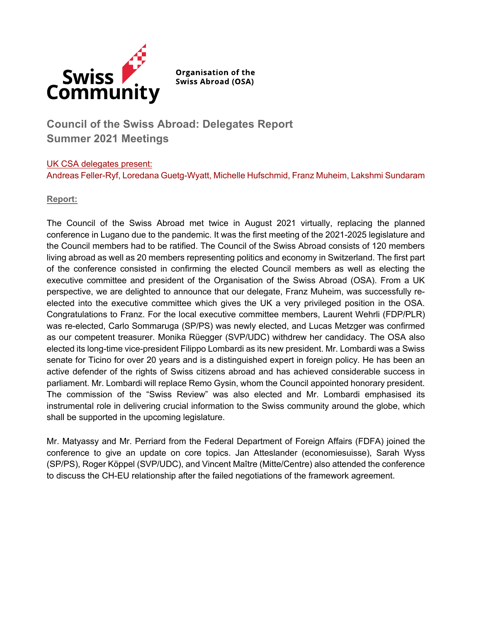

**Organisation of the Swiss Abroad (OSA)** 

# **Council of the Swiss Abroad: Delegates Report Summer 2021 Meetings**

## UK CSA delegates present: Andreas Feller-Ryf, Loredana Guetg-Wyatt, Michelle Hufschmid, Franz Muheim, Lakshmi Sundaram

# **Report:**

The Council of the Swiss Abroad met twice in August 2021 virtually, replacing the planned conference in Lugano due to the pandemic. It was the first meeting of the 2021-2025 legislature and the Council members had to be ratified. The Council of the Swiss Abroad consists of 120 members living abroad as well as 20 members representing politics and economy in Switzerland. The first part of the conference consisted in confirming the elected Council members as well as electing the executive committee and president of the Organisation of the Swiss Abroad (OSA). From a UK perspective, we are delighted to announce that our delegate, Franz Muheim, was successfully reelected into the executive committee which gives the UK a very privileged position in the OSA. Congratulations to Franz. For the local executive committee members, Laurent Wehrli (FDP/PLR) was re-elected, Carlo Sommaruga (SP/PS) was newly elected, and Lucas Metzger was confirmed as our competent treasurer. Monika Rüegger (SVP/UDC) withdrew her candidacy. The OSA also elected its long-time vice-president Filippo Lombardi as its new president. Mr. Lombardi was a Swiss senate for Ticino for over 20 years and is a distinguished expert in foreign policy. He has been an active defender of the rights of Swiss citizens abroad and has achieved considerable success in parliament. Mr. Lombardi will replace Remo Gysin, whom the Council appointed honorary president. The commission of the "Swiss Review" was also elected and Mr. Lombardi emphasised its instrumental role in delivering crucial information to the Swiss community around the globe, which shall be supported in the upcoming legislature.

Mr. Matyassy and Mr. Perriard from the Federal Department of Foreign Affairs (FDFA) joined the conference to give an update on core topics. Jan Atteslander (economiesuisse), Sarah Wyss (SP/PS), Roger Köppel (SVP/UDC), and Vincent Maître (Mitte/Centre) also attended the conference to discuss the CH-EU relationship after the failed negotiations of the framework agreement.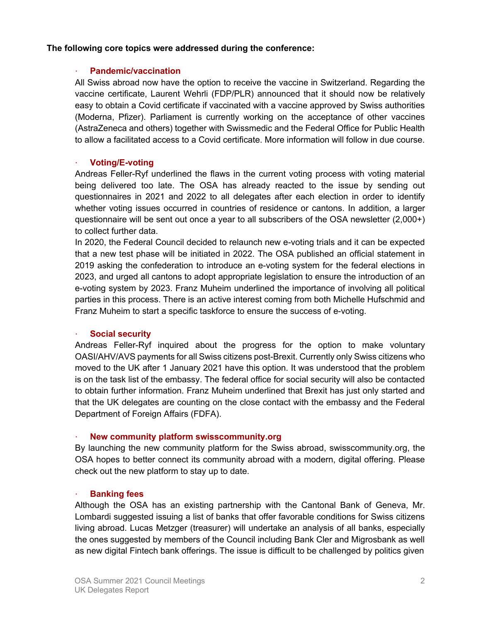## **The following core topics were addressed during the conference:**

### **· Pandemic/vaccination**

All Swiss abroad now have the option to receive the vaccine in Switzerland. Regarding the vaccine certificate, Laurent Wehrli (FDP/PLR) announced that it should now be relatively easy to obtain a Covid certificate if vaccinated with a vaccine approved by Swiss authorities (Moderna, Pfizer). Parliament is currently working on the acceptance of other vaccines (AstraZeneca and others) together with Swissmedic and the Federal Office for Public Health to allow a facilitated access to a Covid certificate. More information will follow in due course.

## **· Voting/E-voting**

Andreas Feller-Ryf underlined the flaws in the current voting process with voting material being delivered too late. The OSA has already reacted to the issue by sending out questionnaires in 2021 and 2022 to all delegates after each election in order to identify whether voting issues occurred in countries of residence or cantons. In addition, a larger questionnaire will be sent out once a year to all subscribers of the OSA newsletter (2,000+) to collect further data.

In 2020, the Federal Council decided to relaunch new e-voting trials and it can be expected that a new test phase will be initiated in 2022. The OSA published an official statement in 2019 asking the confederation to introduce an e-voting system for the federal elections in 2023, and urged all cantons to adopt appropriate legislation to ensure the introduction of an e-voting system by 2023. Franz Muheim underlined the importance of involving all political parties in this process. There is an active interest coming from both Michelle Hufschmid and Franz Muheim to start a specific taskforce to ensure the success of e-voting.

#### **· Social security**

Andreas Feller-Ryf inquired about the progress for the option to make voluntary OASI/AHV/AVS payments for all Swiss citizens post-Brexit. Currently only Swiss citizens who moved to the UK after 1 January 2021 have this option. It was understood that the problem is on the task list of the embassy. The federal office for social security will also be contacted to obtain further information. Franz Muheim underlined that Brexit has just only started and that the UK delegates are counting on the close contact with the embassy and the Federal Department of Foreign Affairs (FDFA).

#### **· New community platform swisscommunity.org**

By launching the new community platform for the Swiss abroad, swisscommunity.org, the OSA hopes to better connect its community abroad with a modern, digital offering. Please check out the new platform to stay up to date.

#### **· Banking fees**

Although the OSA has an existing partnership with the Cantonal Bank of Geneva, Mr. Lombardi suggested issuing a list of banks that offer favorable conditions for Swiss citizens living abroad. Lucas Metzger (treasurer) will undertake an analysis of all banks, especially the ones suggested by members of the Council including Bank Cler and Migrosbank as well as new digital Fintech bank offerings. The issue is difficult to be challenged by politics given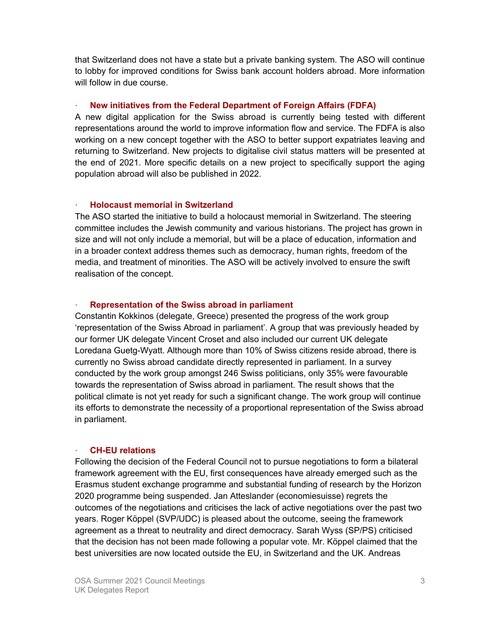that Switzerland does not have a state but a private banking system. The ASO will continue to lobby for improved conditions for Swiss bank account holders abroad. More information will follow in due course.

# **· New initiatives from the Federal Department of Foreign Affairs (FDFA)**

A new digital application for the Swiss abroad is currently being tested with different representations around the world to improve information flow and service. The FDFA is also working on a new concept together with the ASO to better support expatriates leaving and returning to Switzerland. New projects to digitalise civil status matters will be presented at the end of 2021. More specific details on a new project to specifically support the aging population abroad will also be published in 2022.

# **· Holocaust memorial in Switzerland**

The ASO started the initiative to build a holocaust memorial in Switzerland. The steering committee includes the Jewish community and various historians. The project has grown in size and will not only include a memorial, but will be a place of education, information and in a broader context address themes such as democracy, human rights, freedom of the media, and treatment of minorities. The ASO will be actively involved to ensure the swift realisation of the concept.

# **· Representation of the Swiss abroad in parliament**

Constantin Kokkinos (delegate, Greece) presented the progress of the work group 'representation of the Swiss Abroad in parliament'. A group that was previously headed by our former UK delegate Vincent Croset and also included our current UK delegate Loredana Guetg-Wyatt. Although more than 10% of Swiss citizens reside abroad, there is currently no Swiss abroad candidate directly represented in parliament. In a survey conducted by the work group amongst 246 Swiss politicians, only 35% were favourable towards the representation of Swiss abroad in parliament. The result shows that the political climate is not yet ready for such a significant change. The work group will continue its efforts to demonstrate the necessity of a proportional representation of the Swiss abroad in parliament.

## **· CH-EU relations**

Following the decision of the Federal Council not to pursue negotiations to form a bilateral framework agreement with the EU, first consequences have already emerged such as the Erasmus student exchange programme and substantial funding of research by the Horizon 2020 programme being suspended. Jan Atteslander (economiesuisse) regrets the outcomes of the negotiations and criticises the lack of active negotiations over the past two years. Roger Köppel (SVP/UDC) is pleased about the outcome, seeing the framework agreement as a threat to neutrality and direct democracy. Sarah Wyss (SP/PS) criticised that the decision has not been made following a popular vote. Mr. Köppel claimed that the best universities are now located outside the EU, in Switzerland and the UK. Andreas